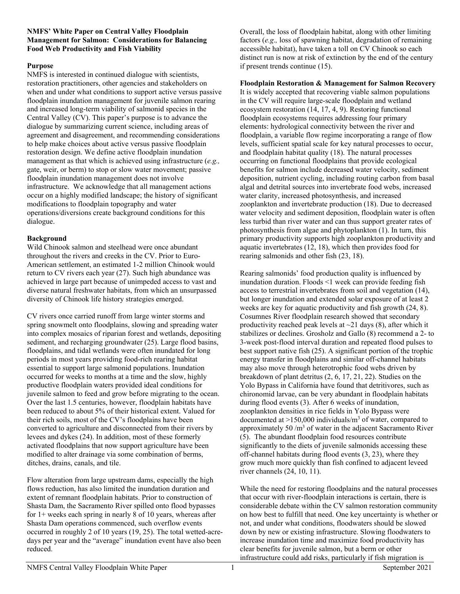#### **NMFS' White Paper on Central Valley Floodplain Management for Salmon: Considerations for Balancing Food Web Productivity and Fish Viability**

### **Purpose**

NMFS is interested in continued dialogue with scientists, restoration practitioners, other agencies and stakeholders on when and under what conditions to support active versus passive floodplain inundation management for juvenile salmon rearing and increased long-term viability of salmonid species in the Central Valley (CV). This paper's purpose is to advance the dialogue by summarizing current science, including areas of agreement and disagreement, and recommending considerations to help make choices about active versus passive floodplain restoration design. We define active floodplain inundation management as that which is achieved using infrastructure (*e.g.,* gate, weir, or berm) to stop or slow water movement; passive floodplain inundation management does not involve infrastructure. We acknowledge that all management actions occur on a highly modified landscape; the history of significant modifications to floodplain topography and water operations/diversions create background conditions for this dialogue.

### **Background**

Wild Chinook salmon and steelhead were once abundant throughout the rivers and creeks in the CV. Prior to Euro-American settlement, an estimated 1-2 million Chinook would return to CV rivers each year (27). Such high abundance was achieved in large part because of unimpeded access to vast and diverse natural freshwater habitats, from which an unsurpassed diversity of Chinook life history strategies emerged.

CV rivers once carried runoff from large winter storms and spring snowmelt onto floodplains, slowing and spreading water into complex mosaics of riparian forest and wetlands, depositing sediment, and recharging groundwater (25). Large flood basins, floodplains, and tidal wetlands were often inundated for long periods in most years providing food-rich rearing habitat essential to support large salmonid populations. Inundation occurred for weeks to months at a time and the slow, highly productive floodplain waters provided ideal conditions for juvenile salmon to feed and grow before migrating to the ocean. Over the last 1.5 centuries, however, floodplain habitats have been reduced to about 5% of their historical extent. Valued for their rich soils, most of the CV's floodplains have been converted to agriculture and disconnected from their rivers by levees and dykes (24). In addition, most of these formerly activated floodplains that now support agriculture have been modified to alter drainage via some combination of berms, ditches, drains, canals, and tile.

Flow alteration from large upstream dams, especially the high flows reduction, has also limited the inundation duration and extent of remnant floodplain habitats. Prior to construction of Shasta Dam, the Sacramento River spilled onto flood bypasses for  $1+$  weeks each spring in nearly 8 of 10 years, whereas after Shasta Dam operations commenced, such overflow events occurred in roughly 2 of 10 years (19, 25). The total wetted-acredays per year and the "average" inundation event have also been reduced.

Overall, the loss of floodplain habitat, along with other limiting factors (*e.g*.*,* loss of spawning habitat, degradation of remaining accessible habitat), have taken a toll on CV Chinook so each distinct run is now at risk of extinction by the end of the century if present trends continue (15).

**Floodplain Restoration & Management for Salmon Recovery**

It is widely accepted that recovering viable salmon populations in the CV will require large-scale floodplain and wetland ecosystem restoration (14, 17, 4, 9). Restoring functional floodplain ecosystems requires addressing four primary elements: hydrological connectivity between the river and floodplain, a variable flow regime incorporating a range of flow levels, sufficient spatial scale for key natural processes to occur, and floodplain habitat quality (18). The natural processes occurring on functional floodplains that provide ecological benefits for salmon include decreased water velocity, sediment deposition, nutrient cycling, including routing carbon from basal algal and detrital sources into invertebrate food webs, increased water clarity, increased photosynthesis, and increased zooplankton and invertebrate production (18). Due to decreased water velocity and sediment deposition, floodplain water is often less turbid than river water and can thus support greater rates of photosynthesis from algae and phytoplankton (1). In turn, this primary productivity supports high zooplankton productivity and aquatic invertebrates (12, 18), which then provides food for rearing salmonids and other fish (23, 18).

Rearing salmonids' food production quality is influenced by inundation duration. Floods <1 week can provide feeding fish access to terrestrial invertebrates from soil and vegetation (14), but longer inundation and extended solar exposure of at least 2 weeks are key for aquatic productivity and fish growth (24, 8). Cosumnes River floodplain research showed that secondary productivity reached peak levels at  $\sim$ 21 days (8), after which it stabilizes or declines. Grosholz and Gallo (8) recommend a 2- to 3-week post-flood interval duration and repeated flood pulses to best support native fish (25). A significant portion of the trophic energy transfer in floodplains and similar off-channel habitats may also move through heterotrophic food webs driven by breakdown of plant detritus (2, 6, 17, 21, 22). Studies on the Yolo Bypass in California have found that detritivores, such as chironomid larvae, can be very abundant in floodplain habitats during flood events (3). After 6 weeks of inundation, zooplankton densities in rice fields in Yolo Bypass were documented at  $>150,000$  individuals/m<sup>3</sup> of water, compared to approximately 50  $/m<sup>3</sup>$  of water in the adjacent Sacramento River (5). The abundant floodplain food resources contribute significantly to the diets of juvenile salmonids accessing these off-channel habitats during flood events (3, 23), where they grow much more quickly than fish confined to adjacent leveed river channels (24, 10, 11).

While the need for restoring floodplains and the natural processes that occur with river-floodplain interactions is certain, there is considerable debate within the CV salmon restoration community on how best to fulfill that need. One key uncertainty is whether or not, and under what conditions, floodwaters should be slowed down by new or existing infrastructure. Slowing floodwaters to increase inundation time and maximize food productivity has clear benefits for juvenile salmon, but a berm or other infrastructure could add risks, particularly if fish migration is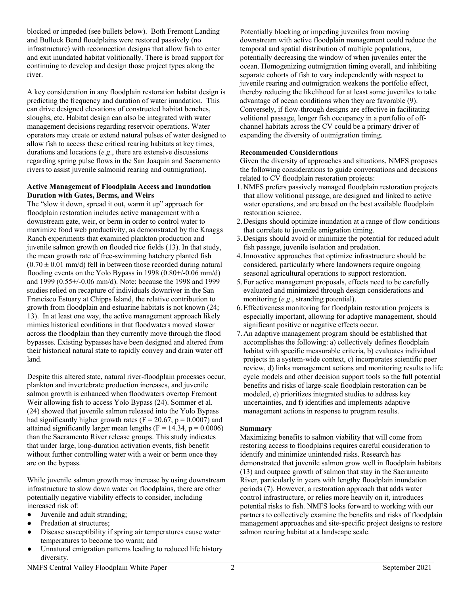blocked or impeded (see bullets below). Both Fremont Landing and Bullock Bend floodplains were restored passively (no infrastructure) with reconnection designs that allow fish to enter and exit inundated habitat volitionally. There is broad support for continuing to develop and design those project types along the river.

A key consideration in any floodplain restoration habitat design is predicting the frequency and duration of water inundation. This can drive designed elevations of constructed habitat benches, sloughs, etc. Habitat design can also be integrated with water management decisions regarding reservoir operations. Water operators may create or extend natural pulses of water designed to allow fish to access these critical rearing habitats at key times, durations and locations (*e.g*., there are extensive discussions regarding spring pulse flows in the San Joaquin and Sacramento rivers to assist juvenile salmonid rearing and outmigration).

#### **Active Management of Floodplain Access and Inundation Duration with Gates, Berms, and Weirs**

The "slow it down, spread it out, warm it up" approach for floodplain restoration includes active management with a downstream gate, weir, or berm in order to control water to maximize food web productivity, as demonstrated by the Knaggs Ranch experiments that examined plankton production and juvenile salmon growth on flooded rice fields (13). In that study, the mean growth rate of free-swimming hatchery planted fish  $(0.70 \pm 0.01$  mm/d) fell in between those recorded during natural flooding events on the Yolo Bypass in 1998 (0.80+/-0.06 mm/d) and 1999 (0.55+/-0.06 mm/d). Note: because the 1998 and 1999 studies relied on recapture of individuals downriver in the San Francisco Estuary at Chipps Island, the relative contribution to growth from floodplain and estuarine habitats is not known (24; 13). In at least one way, the active management approach likely mimics historical conditions in that floodwaters moved slower across the floodplain than they currently move through the flood bypasses. Existing bypasses have been designed and altered from their historical natural state to rapidly convey and drain water off land.

Despite this altered state, natural river-floodplain processes occur, plankton and invertebrate production increases, and juvenile salmon growth is enhanced when floodwaters overtop Fremont Weir allowing fish to access Yolo Bypass (24). Sommer et al. (24) showed that juvenile salmon released into the Yolo Bypass had significantly higher growth rates ( $F = 20.67$ ,  $p = 0.0007$ ) and attained significantly larger mean lengths ( $F = 14.34$ ,  $p = 0.0006$ ) than the Sacramento River release groups. This study indicates that under large, long-duration activation events, fish benefit without further controlling water with a weir or berm once they are on the bypass.

While juvenile salmon growth may increase by using downstream infrastructure to slow down water on floodplains, there are other potentially negative viability effects to consider, including increased risk of:

- Juvenile and adult stranding;
- Predation at structures;
- Disease susceptibility if spring air temperatures cause water temperatures to become too warm; and
- Unnatural emigration patterns leading to reduced life history diversity.

Potentially blocking or impeding juveniles from moving downstream with active floodplain management could reduce the temporal and spatial distribution of multiple populations, potentially decreasing the window of when juveniles enter the ocean. Homogenizing outmigration timing overall, and inhibiting separate cohorts of fish to vary independently with respect to juvenile rearing and outmigration weakens the portfolio effect, thereby reducing the likelihood for at least some juveniles to take advantage of ocean conditions when they are favorable (9). Conversely, if flow-through designs are effective in facilitating volitional passage, longer fish occupancy in a portfolio of offchannel habitats across the CV could be a primary driver of expanding the diversity of outmigration timing.

# **Recommended Considerations**

Given the diversity of approaches and situations, NMFS proposes the following considerations to guide conversations and decisions related to CV floodplain restoration projects:

- 1. NMFS prefers passively managed floodplain restoration projects that allow volitional passage, are designed and linked to active water operations, and are based on the best available floodplain restoration science.
- 2. Designs should optimize inundation at a range of flow conditions that correlate to juvenile emigration timing.
- 3. Designs should avoid or minimize the potential for reduced adult fish passage, juvenile isolation and predation.
- 4.Innovative approaches that optimize infrastructure should be considered, particularly where landowners require ongoing seasonal agricultural operations to support restoration.
- 5. For active management proposals, effects need to be carefully evaluated and minimized through design considerations and monitoring (*e.g*., stranding potential).
- 6.Effectiveness monitoring for floodplain restoration projects is especially important, allowing for adaptive management, should significant positive or negative effects occur.
- 7. An adaptive management program should be established that accomplishes the following: a) collectively defines floodplain habitat with specific measurable criteria, b) evaluates individual projects in a system-wide context, c) incorporates scientific peer review, d) links management actions and monitoring results to life cycle models and other decision support tools so the full potential benefits and risks of large-scale floodplain restoration can be modeled, e) prioritizes integrated studies to address key uncertainties, and f) identifies and implements adaptive management actions in response to program results.

## **Summary**

Maximizing benefits to salmon viability that will come from restoring access to floodplains requires careful consideration to identify and minimize unintended risks. Research has demonstrated that juvenile salmon grow well in floodplain habitats (13) and outpace growth of salmon that stay in the Sacramento River, particularly in years with lengthy floodplain inundation periods (7). However, a restoration approach that adds water control infrastructure, or relies more heavily on it, introduces potential risks to fish. NMFS looks forward to working with our partners to collectively examine the benefits and risks of floodplain management approaches and site-specific project designs to restore salmon rearing habitat at a landscape scale.